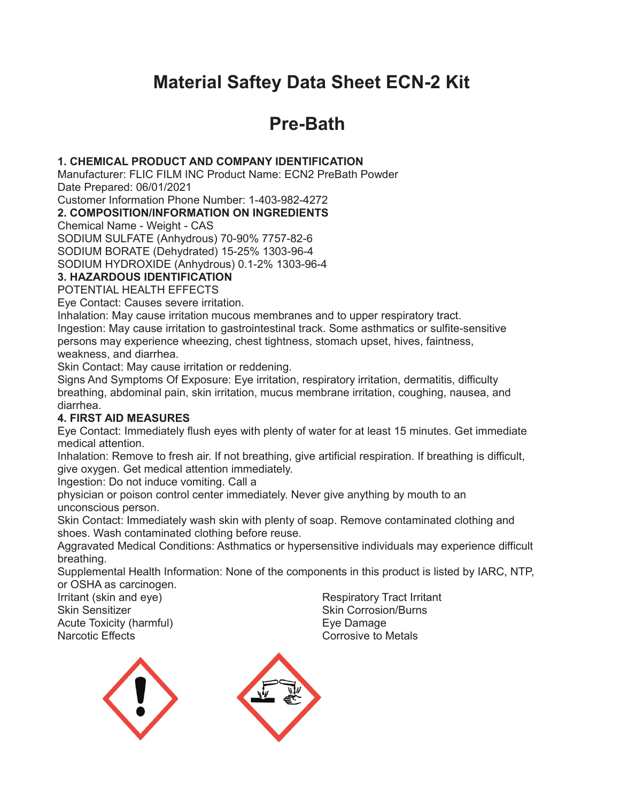# **Material Saftey Data Sheet ECN-2 Kit**

# **Pre-Bath**

#### **1. CHEMICAL PRODUCT AND COMPANY IDENTIFICATION**

Manufacturer: FLIC FILM INC Product Name: ECN2 PreBath Powder Date Prepared: 06/01/2021

Customer Information Phone Number: 1-403-982-4272

**2. COMPOSITION/INFORMATION ON INGREDIENTS**

Chemical Name - Weight - CAS

SODIUM SULFATE (Anhydrous) 70-90% 7757-82-6

SODIUM BORATE (Dehydrated) 15-25% 1303-96-4

SODIUM HYDROXIDE (Anhydrous) 0.1-2% 1303-96-4

#### **3. HAZARDOUS IDENTIFICATION**

POTENTIAL HEALTH EFFECTS

Eye Contact: Causes severe irritation.

Inhalation: May cause irritation mucous membranes and to upper respiratory tract. Ingestion: May cause irritation to gastrointestinal track. Some asthmatics or sulfite-sensitive persons may experience wheezing, chest tightness, stomach upset, hives, faintness, weakness, and diarrhea.

Skin Contact: May cause irritation or reddening.

Signs And Symptoms Of Exposure: Eye irritation, respiratory irritation, dermatitis, difficulty breathing, abdominal pain, skin irritation, mucus membrane irritation, coughing, nausea, and diarrhea.

## **4. FIRST AID MEASURES**

Eye Contact: Immediately flush eyes with plenty of water for at least 15 minutes. Get immediate medical attention.

Inhalation: Remove to fresh air. If not breathing, give artificial respiration. If breathing is difficult, give oxygen. Get medical attention immediately.

Ingestion: Do not induce vomiting. Call a

physician or poison control center immediately. Never give anything by mouth to an unconscious person.

Skin Contact: Immediately wash skin with plenty of soap. Remove contaminated clothing and shoes. Wash contaminated clothing before reuse.

Aggravated Medical Conditions: Asthmatics or hypersensitive individuals may experience difficult breathing.

Supplemental Health Information: None of the components in this product is listed by IARC, NTP, or OSHA as carcinogen.

Irritant (skin and eye) Skin Sensitizer Acute Toxicity (harmful) Narcotic Effects

Respiratory Tract Irritant Skin Corrosion/Burns Eye Damage Corrosive to Metals



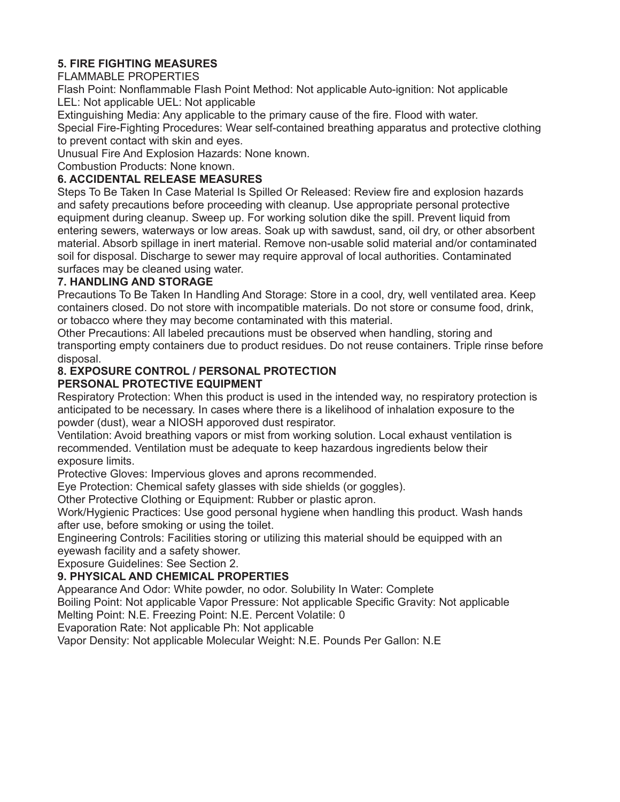## **5. FIRE FIGHTING MEASURES**

#### FLAMMABLE PROPERTIES

Flash Point: Nonflammable Flash Point Method: Not applicable Auto-ignition: Not applicable LEL: Not applicable UEL: Not applicable

Extinguishing Media: Any applicable to the primary cause of the fire. Flood with water.

Special Fire-Fighting Procedures: Wear self-contained breathing apparatus and protective clothing to prevent contact with skin and eyes.

Unusual Fire And Explosion Hazards: None known.

Combustion Products: None known.

## **6. ACCIDENTAL RELEASE MEASURES**

Steps To Be Taken In Case Material Is Spilled Or Released: Review fire and explosion hazards and safety precautions before proceeding with cleanup. Use appropriate personal protective equipment during cleanup. Sweep up. For working solution dike the spill. Prevent liquid from entering sewers, waterways or low areas. Soak up with sawdust, sand, oil dry, or other absorbent material. Absorb spillage in inert material. Remove non-usable solid material and/or contaminated soil for disposal. Discharge to sewer may require approval of local authorities. Contaminated surfaces may be cleaned using water.

## **7. HANDLING AND STORAGE**

Precautions To Be Taken In Handling And Storage: Store in a cool, dry, well ventilated area. Keep containers closed. Do not store with incompatible materials. Do not store or consume food, drink, or tobacco where they may become contaminated with this material.

Other Precautions: All labeled precautions must be observed when handling, storing and transporting empty containers due to product residues. Do not reuse containers. Triple rinse before disposal.

# **8. EXPOSURE CONTROL / PERSONAL PROTECTION**

## **PERSONAL PROTECTIVE EQUIPMENT**

Respiratory Protection: When this product is used in the intended way, no respiratory protection is anticipated to be necessary. In cases where there is a likelihood of inhalation exposure to the powder (dust), wear a NIOSH apporoved dust respirator.

Ventilation: Avoid breathing vapors or mist from working solution. Local exhaust ventilation is recommended. Ventilation must be adequate to keep hazardous ingredients below their exposure limits.

Protective Gloves: Impervious gloves and aprons recommended.

Eye Protection: Chemical safety glasses with side shields (or goggles).

Other Protective Clothing or Equipment: Rubber or plastic apron.

Work/Hygienic Practices: Use good personal hygiene when handling this product. Wash hands after use, before smoking or using the toilet.

Engineering Controls: Facilities storing or utilizing this material should be equipped with an eyewash facility and a safety shower.

Exposure Guidelines: See Section 2.

## **9. PHYSICAL AND CHEMICAL PROPERTIES**

Appearance And Odor: White powder, no odor. Solubility In Water: Complete

Boiling Point: Not applicable Vapor Pressure: Not applicable Specific Gravity: Not applicable Melting Point: N.E. Freezing Point: N.E. Percent Volatile: 0

Evaporation Rate: Not applicable Ph: Not applicable

Vapor Density: Not applicable Molecular Weight: N.E. Pounds Per Gallon: N.E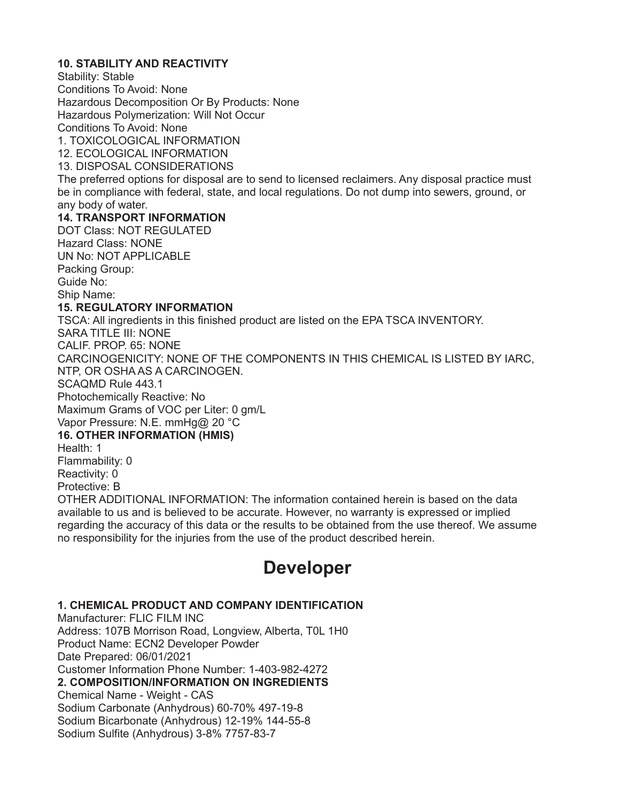#### **10. STABILITY AND REACTIVITY**

Stability: Stable Conditions To Avoid: None Hazardous Decomposition Or By Products: None Hazardous Polymerization: Will Not Occur Conditions To Avoid: None 1. TOXICOLOGICAL INFORMATION 12. ECOLOGICAL INFORMATION 13. DISPOSAL CONSIDERATIONS

The preferred options for disposal are to send to licensed reclaimers. Any disposal practice must be in compliance with federal, state, and local regulations. Do not dump into sewers, ground, or any body of water.

#### **14. TRANSPORT INFORMATION**

DOT Class: NOT REGULATED Hazard Class: NONE UN No: NOT APPLICABLE Packing Group: Guide No: Ship Name:

#### **15. REGULATORY INFORMATION**

TSCA: All ingredients in this finished product are listed on the EPA TSCA INVENTORY. SARA TITLE III: NONE CALIF. PROP. 65: NONE CARCINOGENICITY: NONE OF THE COMPONENTS IN THIS CHEMICAL IS LISTED BY IARC, NTP, OR OSHA AS A CARCINOGEN. SCAQMD Rule 443.1 Photochemically Reactive: No Maximum Grams of VOC per Liter: 0 gm/L Vapor Pressure: N.E. mmHg@ 20 °C **16. OTHER INFORMATION (HMIS)** Health: 1 Flammability: 0 Reactivity: 0 Protective: B OTHER ADDITIONAL INFORMATION: The information contained herein is based on the data available to us and is believed to be accurate. However, no warranty is expressed or implied regarding the accuracy of this data or the results to be obtained from the use thereof. We assume no responsibility for the injuries from the use of the product described herein.

# **Developer**

#### **1. CHEMICAL PRODUCT AND COMPANY IDENTIFICATION**

Manufacturer: FLIC FILM INC Address: 107B Morrison Road, Longview, Alberta, T0L 1H0 Product Name: ECN2 Developer Powder Date Prepared: 06/01/2021 Customer Information Phone Number: 1-403-982-4272 **2. COMPOSITION/INFORMATION ON INGREDIENTS** Chemical Name - Weight - CAS Sodium Carbonate (Anhydrous) 60-70% 497-19-8 Sodium Bicarbonate (Anhydrous) 12-19% 144-55-8 Sodium Sulfite (Anhydrous) 3-8% 7757-83-7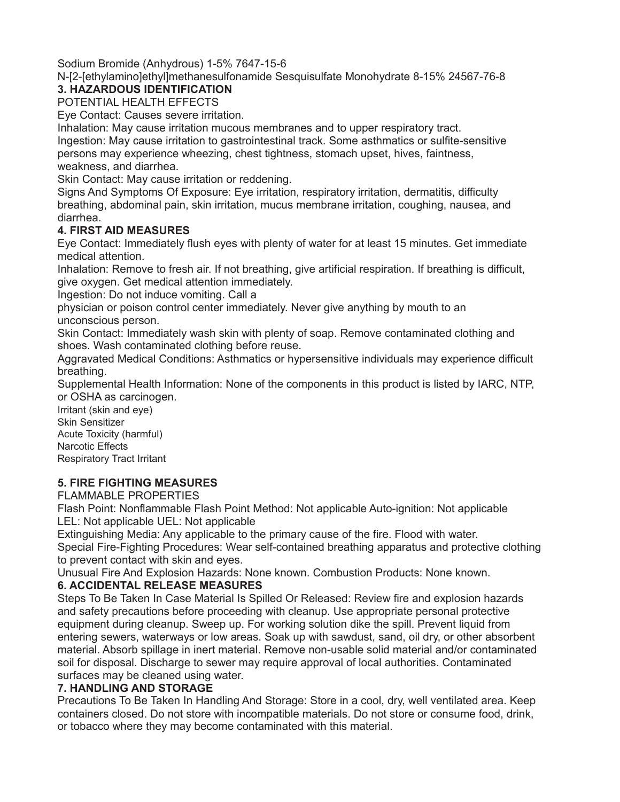Sodium Bromide (Anhydrous) 1-5% 7647-15-6

N-[2-[ethylamino]ethyl]methanesulfonamide Sesquisulfate Monohydrate 8-15% 24567-76-8

## **3. HAZARDOUS IDENTIFICATION**

POTENTIAL HEALTH EFFECTS

Eye Contact: Causes severe irritation.

Inhalation: May cause irritation mucous membranes and to upper respiratory tract.

Ingestion: May cause irritation to gastrointestinal track. Some asthmatics or sulfite-sensitive persons may experience wheezing, chest tightness, stomach upset, hives, faintness, weakness, and diarrhea.

Skin Contact: May cause irritation or reddening.

Signs And Symptoms Of Exposure: Eye irritation, respiratory irritation, dermatitis, difficulty breathing, abdominal pain, skin irritation, mucus membrane irritation, coughing, nausea, and diarrhea.

## **4. FIRST AID MEASURES**

Eye Contact: Immediately flush eyes with plenty of water for at least 15 minutes. Get immediate medical attention.

Inhalation: Remove to fresh air. If not breathing, give artificial respiration. If breathing is difficult, give oxygen. Get medical attention immediately.

Ingestion: Do not induce vomiting. Call a

physician or poison control center immediately. Never give anything by mouth to an unconscious person.

Skin Contact: Immediately wash skin with plenty of soap. Remove contaminated clothing and shoes. Wash contaminated clothing before reuse.

Aggravated Medical Conditions: Asthmatics or hypersensitive individuals may experience difficult breathing.

Supplemental Health Information: None of the components in this product is listed by IARC, NTP, or OSHA as carcinogen.

Irritant (skin and eye) Skin Sensitizer Acute Toxicity (harmful) Narcotic Effects Respiratory Tract Irritant

## **5. FIRE FIGHTING MEASURES**

FLAMMABLE PROPERTIES

Flash Point: Nonflammable Flash Point Method: Not applicable Auto-ignition: Not applicable LEL: Not applicable UEL: Not applicable

Extinguishing Media: Any applicable to the primary cause of the fire. Flood with water. Special Fire-Fighting Procedures: Wear self-contained breathing apparatus and protective clothing to prevent contact with skin and eyes.

Unusual Fire And Explosion Hazards: None known. Combustion Products: None known.

## **6. ACCIDENTAL RELEASE MEASURES**

Steps To Be Taken In Case Material Is Spilled Or Released: Review fire and explosion hazards and safety precautions before proceeding with cleanup. Use appropriate personal protective equipment during cleanup. Sweep up. For working solution dike the spill. Prevent liquid from entering sewers, waterways or low areas. Soak up with sawdust, sand, oil dry, or other absorbent material. Absorb spillage in inert material. Remove non-usable solid material and/or contaminated soil for disposal. Discharge to sewer may require approval of local authorities. Contaminated surfaces may be cleaned using water.

## **7. HANDLING AND STORAGE**

Precautions To Be Taken In Handling And Storage: Store in a cool, dry, well ventilated area. Keep containers closed. Do not store with incompatible materials. Do not store or consume food, drink, or tobacco where they may become contaminated with this material.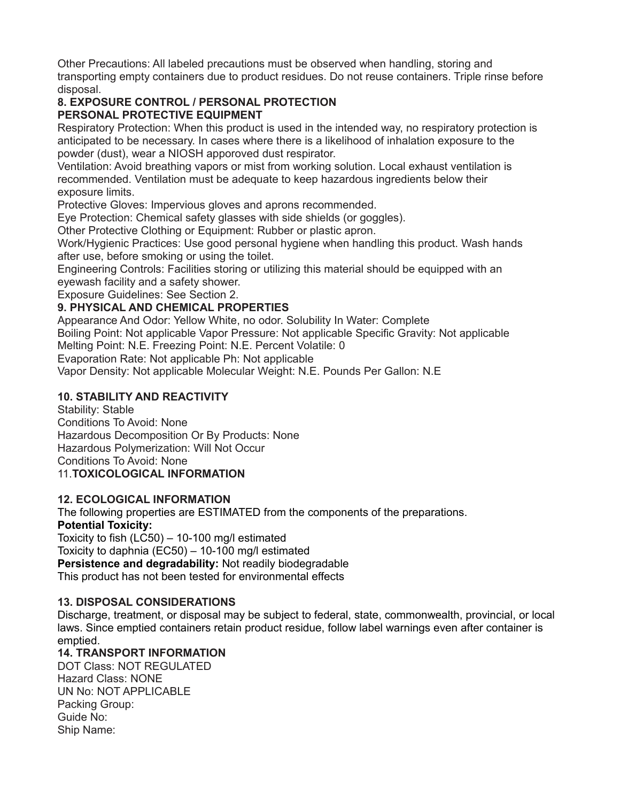Other Precautions: All labeled precautions must be observed when handling, storing and transporting empty containers due to product residues. Do not reuse containers. Triple rinse before disposal.

#### **8. EXPOSURE CONTROL / PERSONAL PROTECTION PERSONAL PROTECTIVE EQUIPMENT**

Respiratory Protection: When this product is used in the intended way, no respiratory protection is anticipated to be necessary. In cases where there is a likelihood of inhalation exposure to the powder (dust), wear a NIOSH apporoved dust respirator.

Ventilation: Avoid breathing vapors or mist from working solution. Local exhaust ventilation is recommended. Ventilation must be adequate to keep hazardous ingredients below their exposure limits.

Protective Gloves: Impervious gloves and aprons recommended.

Eye Protection: Chemical safety glasses with side shields (or goggles).

Other Protective Clothing or Equipment: Rubber or plastic apron.

Work/Hygienic Practices: Use good personal hygiene when handling this product. Wash hands after use, before smoking or using the toilet.

Engineering Controls: Facilities storing or utilizing this material should be equipped with an eyewash facility and a safety shower.

Exposure Guidelines: See Section 2.

## **9. PHYSICAL AND CHEMICAL PROPERTIES**

Appearance And Odor: Yellow White, no odor. Solubility In Water: Complete

Boiling Point: Not applicable Vapor Pressure: Not applicable Specific Gravity: Not applicable Melting Point: N.E. Freezing Point: N.E. Percent Volatile: 0

Evaporation Rate: Not applicable Ph: Not applicable

Vapor Density: Not applicable Molecular Weight: N.E. Pounds Per Gallon: N.E

# **10. STABILITY AND REACTIVITY**

Stability: Stable

Conditions To Avoid: None Hazardous Decomposition Or By Products: None Hazardous Polymerization: Will Not Occur Conditions To Avoid: None 11.**TOXICOLOGICAL INFORMATION**

## **12. ECOLOGICAL INFORMATION**

The following properties are ESTIMATED from the components of the preparations.

## **Potential Toxicity:**

Toxicity to fish (LC50) – 10-100 mg/l estimated Toxicity to daphnia (EC50) – 10-100 mg/l estimated **Persistence and degradability:** Not readily biodegradable This product has not been tested for environmental effects

## **13. DISPOSAL CONSIDERATIONS**

Discharge, treatment, or disposal may be subject to federal, state, commonwealth, provincial, or local laws. Since emptied containers retain product residue, follow label warnings even after container is emptied.

## **14. TRANSPORT INFORMATION**

DOT Class: NOT REGULATED Hazard Class: NONE UN No: NOT APPLICABLE Packing Group: Guide No: Ship Name: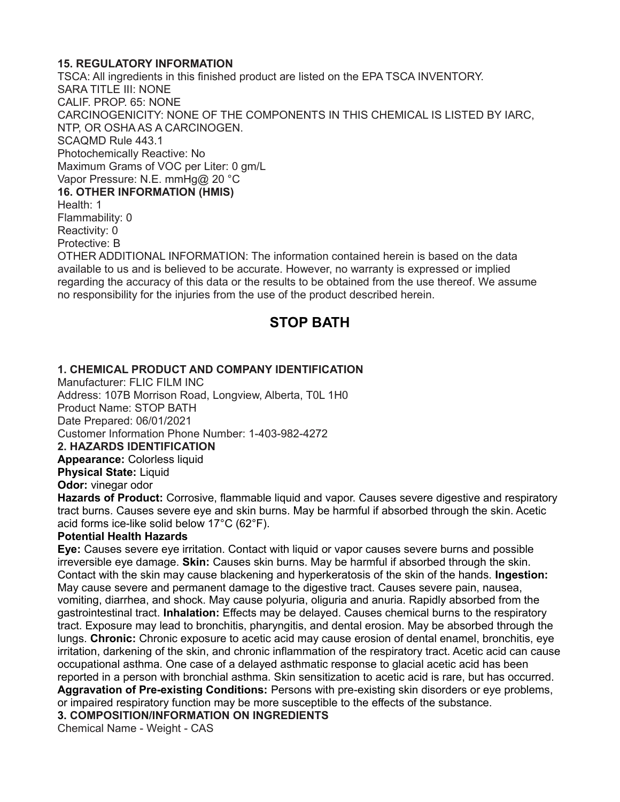#### **15. REGULATORY INFORMATION**

TSCA: All ingredients in this finished product are listed on the EPA TSCA INVENTORY. SARA TITLE III: NONE CALIF. PROP. 65: NONE CARCINOGENICITY: NONE OF THE COMPONENTS IN THIS CHEMICAL IS LISTED BY IARC, NTP, OR OSHA AS A CARCINOGEN. SCAQMD Rule 443.1 Photochemically Reactive: No Maximum Grams of VOC per Liter: 0 gm/L Vapor Pressure: N.E. mmHg@ 20 °C **16. OTHER INFORMATION (HMIS)** Health: 1 Flammability: 0 Reactivity: 0 Protective: B OTHER ADDITIONAL INFORMATION: The information contained herein is based on the data available to us and is believed to be accurate. However, no warranty is expressed or implied regarding the accuracy of this data or the results to be obtained from the use thereof. We assume no responsibility for the injuries from the use of the product described herein.

# **STOP BATH**

#### **1. CHEMICAL PRODUCT AND COMPANY IDENTIFICATION**

Manufacturer: FLIC FILM INC Address: 107B Morrison Road, Longview, Alberta, T0L 1H0 Product Name: STOP BATH Date Prepared: 06/01/2021 Customer Information Phone Number: 1-403-982-4272 **2. HAZARDS IDENTIFICATION Appearance: Colorless liquid Physical State:** Liquid **Odor:** vinegar odor

**Hazards of Product:** Corrosive, flammable liquid and vapor. Causes severe digestive and respiratory tract burns. Causes severe eye and skin burns. May be harmful if absorbed through the skin. Acetic acid forms ice-like solid below 17°C (62°F).

#### **Potential Health Hazards**

**Eye:** Causes severe eye irritation. Contact with liquid or vapor causes severe burns and possible irreversible eye damage. **Skin:** Causes skin burns. May be harmful if absorbed through the skin. Contact with the skin may cause blackening and hyperkeratosis of the skin of the hands. **Ingestion:**  May cause severe and permanent damage to the digestive tract. Causes severe pain, nausea, vomiting, diarrhea, and shock. May cause polyuria, oliguria and anuria. Rapidly absorbed from the gastrointestinal tract. **Inhalation:** Effects may be delayed. Causes chemical burns to the respiratory tract. Exposure may lead to bronchitis, pharyngitis, and dental erosion. May be absorbed through the lungs. **Chronic:** Chronic exposure to acetic acid may cause erosion of dental enamel, bronchitis, eye irritation, darkening of the skin, and chronic inflammation of the respiratory tract. Acetic acid can cause occupational asthma. One case of a delayed asthmatic response to glacial acetic acid has been reported in a person with bronchial asthma. Skin sensitization to acetic acid is rare, but has occurred. **Aggravation of Pre-existing Conditions:** Persons with pre-existing skin disorders or eye problems, or impaired respiratory function may be more susceptible to the effects of the substance.

#### **3. COMPOSITION/INFORMATION ON INGREDIENTS**

Chemical Name - Weight - CAS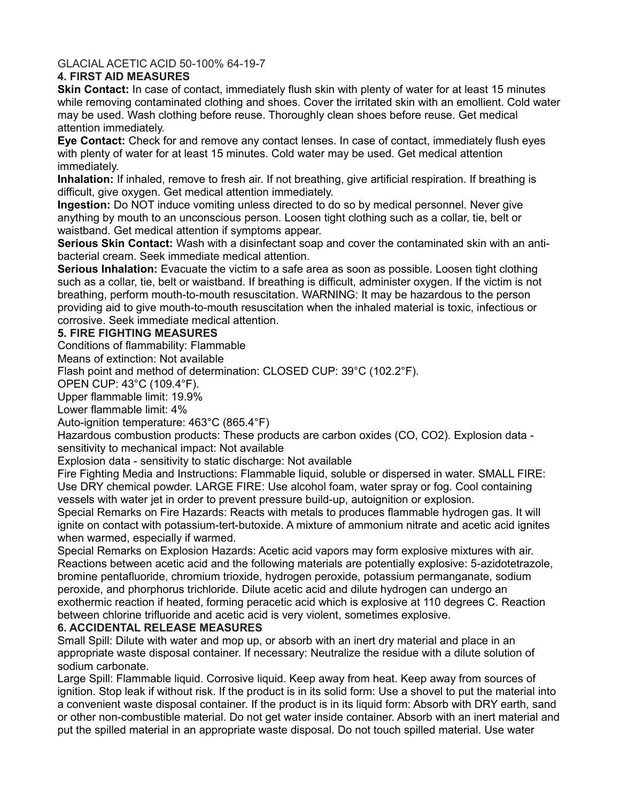GLACIAL ACETIC ACID 50-100% 64-19-7

#### **4. FIRST AID MEASURES**

**Skin Contact:** In case of contact, immediately flush skin with plenty of water for at least 15 minutes while removing contaminated clothing and shoes. Cover the irritated skin with an emollient. Cold water may be used. Wash clothing before reuse. Thoroughly clean shoes before reuse. Get medical attention immediately.

**Eye Contact:** Check for and remove any contact lenses. In case of contact, immediately flush eyes with plenty of water for at least 15 minutes. Cold water may be used. Get medical attention immediately.

**Inhalation:** If inhaled, remove to fresh air. If not breathing, give artificial respiration. If breathing is difficult, give oxygen. Get medical attention immediately.

**Ingestion:** Do NOT induce vomiting unless directed to do so by medical personnel. Never give anything by mouth to an unconscious person. Loosen tight clothing such as a collar, tie, belt or waistband. Get medical attention if symptoms appear.

**Serious Skin Contact:** Wash with a disinfectant soap and cover the contaminated skin with an antibacterial cream. Seek immediate medical attention.

**Serious Inhalation:** Evacuate the victim to a safe area as soon as possible. Loosen tight clothing such as a collar, tie, belt or waistband. If breathing is difficult, administer oxygen. If the victim is not breathing, perform mouth-to-mouth resuscitation. WARNING: It may be hazardous to the person providing aid to give mouth-to-mouth resuscitation when the inhaled material is toxic, infectious or corrosive. Seek immediate medical attention.

#### **5. FIRE FIGHTING MEASURES**

Conditions of flammability: Flammable

Means of extinction: Not available

Flash point and method of determination: CLOSED CUP: 39°C (102.2°F).

OPEN CUP: 43°C (109.4°F).

Upper flammable limit: 19.9%

Lower flammable limit: 4%

Auto-ignition temperature: 463°C (865.4°F)

Hazardous combustion products: These products are carbon oxides (CO, CO2). Explosion data sensitivity to mechanical impact: Not available

Explosion data - sensitivity to static discharge: Not available

Fire Fighting Media and Instructions: Flammable liquid, soluble or dispersed in water. SMALL FIRE: Use DRY chemical powder. LARGE FIRE: Use alcohol foam, water spray or fog. Cool containing vessels with water jet in order to prevent pressure build-up, autoignition or explosion.

Special Remarks on Fire Hazards: Reacts with metals to produces flammable hydrogen gas. It will ignite on contact with potassium-tert-butoxide. A mixture of ammonium nitrate and acetic acid ignites when warmed, especially if warmed.

Special Remarks on Explosion Hazards: Acetic acid vapors may form explosive mixtures with air. Reactions between acetic acid and the following materials are potentially explosive: 5-azidotetrazole, bromine pentafluoride, chromium trioxide, hydrogen peroxide, potassium permanganate, sodium peroxide, and phorphorus trichloride. Dilute acetic acid and dilute hydrogen can undergo an exothermic reaction if heated, forming peracetic acid which is explosive at 110 degrees C. Reaction between chlorine trifluoride and acetic acid is very violent, sometimes explosive.

#### **6. ACCIDENTAL RELEASE MEASURES**

Small Spill: Dilute with water and mop up, or absorb with an inert dry material and place in an appropriate waste disposal container. If necessary: Neutralize the residue with a dilute solution of sodium carbonate.

Large Spill: Flammable liquid. Corrosive liquid. Keep away from heat. Keep away from sources of ignition. Stop leak if without risk. If the product is in its solid form: Use a shovel to put the material into a convenient waste disposal container. If the product is in its liquid form: Absorb with DRY earth, sand or other non-combustible material. Do not get water inside container. Absorb with an inert material and put the spilled material in an appropriate waste disposal. Do not touch spilled material. Use water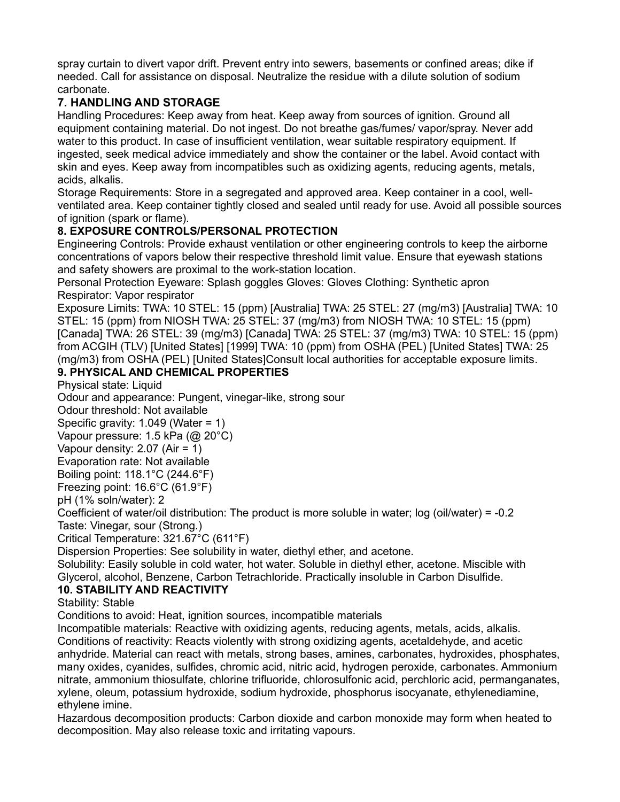spray curtain to divert vapor drift. Prevent entry into sewers, basements or confined areas; dike if needed. Call for assistance on disposal. Neutralize the residue with a dilute solution of sodium carbonate.

## **7. HANDLING AND STORAGE**

Handling Procedures: Keep away from heat. Keep away from sources of ignition. Ground all equipment containing material. Do not ingest. Do not breathe gas/fumes/ vapor/spray. Never add water to this product. In case of insufficient ventilation, wear suitable respiratory equipment. If ingested, seek medical advice immediately and show the container or the label. Avoid contact with skin and eyes. Keep away from incompatibles such as oxidizing agents, reducing agents, metals, acids, alkalis.

Storage Requirements: Store in a segregated and approved area. Keep container in a cool, wellventilated area. Keep container tightly closed and sealed until ready for use. Avoid all possible sources of ignition (spark or flame).

## **8. EXPOSURE CONTROLS/PERSONAL PROTECTION**

Engineering Controls: Provide exhaust ventilation or other engineering controls to keep the airborne concentrations of vapors below their respective threshold limit value. Ensure that eyewash stations and safety showers are proximal to the work-station location.

Personal Protection Eyeware: Splash goggles Gloves: Gloves Clothing: Synthetic apron Respirator: Vapor respirator

Exposure Limits: TWA: 10 STEL: 15 (ppm) [Australia] TWA: 25 STEL: 27 (mg/m3) [Australia] TWA: 10 STEL: 15 (ppm) from NIOSH TWA: 25 STEL: 37 (mg/m3) from NIOSH TWA: 10 STEL: 15 (ppm) [Canada] TWA: 26 STEL: 39 (mg/m3) [Canada] TWA: 25 STEL: 37 (mg/m3) TWA: 10 STEL: 15 (ppm) from ACGIH (TLV) [United States] [1999] TWA: 10 (ppm) from OSHA (PEL) [United States] TWA: 25 (mg/m3) from OSHA (PEL) [United States]Consult local authorities for acceptable exposure limits.

## **9. PHYSICAL AND CHEMICAL PROPERTIES**

Physical state: Liquid

Odour and appearance: Pungent, vinegar-like, strong sour

Odour threshold: Not available

Specific gravity: 1.049 (Water = 1)

Vapour pressure: 1.5 kPa (@ 20°C)

Vapour density: 2.07 (Air = 1)

Evaporation rate: Not available

Boiling point: 118.1°C (244.6°F)

Freezing point: 16.6°C (61.9°F)

pH (1% soln/water): 2

Coefficient of water/oil distribution: The product is more soluble in water; log (oil/water) = -0.2 Taste: Vinegar, sour (Strong.)

Critical Temperature: 321.67°C (611°F)

Dispersion Properties: See solubility in water, diethyl ether, and acetone.

Solubility: Easily soluble in cold water, hot water. Soluble in diethyl ether, acetone. Miscible with Glycerol, alcohol, Benzene, Carbon Tetrachloride. Practically insoluble in Carbon Disulfide.

## **10. STABILITY AND REACTIVITY**

Stability: Stable

Conditions to avoid: Heat, ignition sources, incompatible materials

Incompatible materials: Reactive with oxidizing agents, reducing agents, metals, acids, alkalis.

Conditions of reactivity: Reacts violently with strong oxidizing agents, acetaldehyde, and acetic anhydride. Material can react with metals, strong bases, amines, carbonates, hydroxides, phosphates, many oxides, cyanides, sulfides, chromic acid, nitric acid, hydrogen peroxide, carbonates. Ammonium nitrate, ammonium thiosulfate, chlorine trifluoride, chlorosulfonic acid, perchloric acid, permanganates, xylene, oleum, potassium hydroxide, sodium hydroxide, phosphorus isocyanate, ethylenediamine, ethylene imine.

Hazardous decomposition products: Carbon dioxide and carbon monoxide may form when heated to decomposition. May also release toxic and irritating vapours.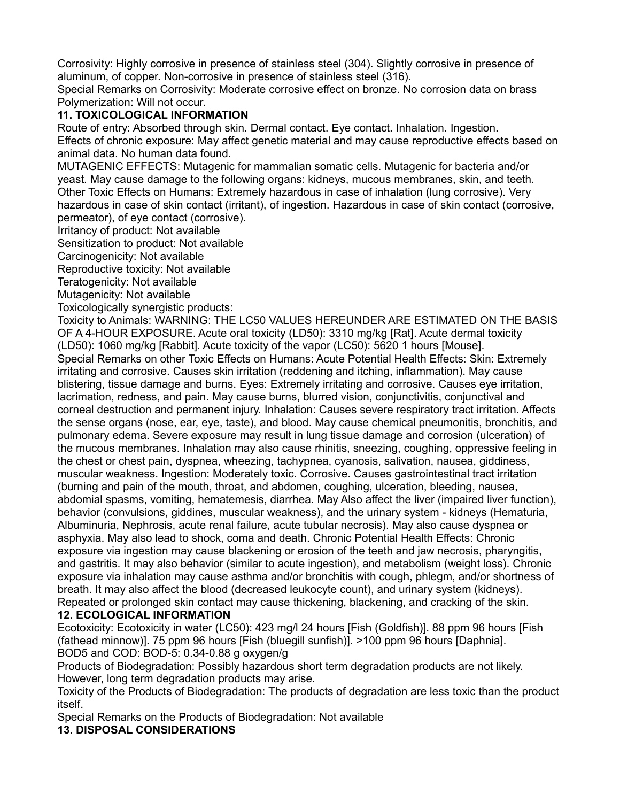Corrosivity: Highly corrosive in presence of stainless steel (304). Slightly corrosive in presence of aluminum, of copper. Non-corrosive in presence of stainless steel (316).

Special Remarks on Corrosivity: Moderate corrosive effect on bronze. No corrosion data on brass Polymerization: Will not occur.

#### **11. TOXICOLOGICAL INFORMATION**

Route of entry: Absorbed through skin. Dermal contact. Eye contact. Inhalation. Ingestion. Effects of chronic exposure: May affect genetic material and may cause reproductive effects based on animal data. No human data found.

MUTAGENIC EFFECTS: Mutagenic for mammalian somatic cells. Mutagenic for bacteria and/or yeast. May cause damage to the following organs: kidneys, mucous membranes, skin, and teeth. Other Toxic Effects on Humans: Extremely hazardous in case of inhalation (lung corrosive). Very hazardous in case of skin contact (irritant), of ingestion. Hazardous in case of skin contact (corrosive, permeator), of eye contact (corrosive).

Irritancy of product: Not available

Sensitization to product: Not available

Carcinogenicity: Not available

Reproductive toxicity: Not available

Teratogenicity: Not available

Mutagenicity: Not available

Toxicologically synergistic products:

Toxicity to Animals: WARNING: THE LC50 VALUES HEREUNDER ARE ESTIMATED ON THE BASIS OF A 4-HOUR EXPOSURE. Acute oral toxicity (LD50): 3310 mg/kg [Rat]. Acute dermal toxicity (LD50): 1060 mg/kg [Rabbit]. Acute toxicity of the vapor (LC50): 5620 1 hours [Mouse]. Special Remarks on other Toxic Effects on Humans: Acute Potential Health Effects: Skin: Extremely irritating and corrosive. Causes skin irritation (reddening and itching, inflammation). May cause blistering, tissue damage and burns. Eyes: Extremely irritating and corrosive. Causes eye irritation, lacrimation, redness, and pain. May cause burns, blurred vision, conjunctivitis, conjunctival and corneal destruction and permanent injury. Inhalation: Causes severe respiratory tract irritation. Affects the sense organs (nose, ear, eye, taste), and blood. May cause chemical pneumonitis, bronchitis, and pulmonary edema. Severe exposure may result in lung tissue damage and corrosion (ulceration) of the mucous membranes. Inhalation may also cause rhinitis, sneezing, coughing, oppressive feeling in the chest or chest pain, dyspnea, wheezing, tachypnea, cyanosis, salivation, nausea, giddiness, muscular weakness. Ingestion: Moderately toxic. Corrosive. Causes gastrointestinal tract irritation (burning and pain of the mouth, throat, and abdomen, coughing, ulceration, bleeding, nausea, abdomial spasms, vomiting, hematemesis, diarrhea. May Also affect the liver (impaired liver function), behavior (convulsions, giddines, muscular weakness), and the urinary system - kidneys (Hematuria, Albuminuria, Nephrosis, acute renal failure, acute tubular necrosis). May also cause dyspnea or asphyxia. May also lead to shock, coma and death. Chronic Potential Health Effects: Chronic exposure via ingestion may cause blackening or erosion of the teeth and jaw necrosis, pharyngitis, and gastritis. It may also behavior (similar to acute ingestion), and metabolism (weight loss). Chronic exposure via inhalation may cause asthma and/or bronchitis with cough, phlegm, and/or shortness of breath. It may also affect the blood (decreased leukocyte count), and urinary system (kidneys). Repeated or prolonged skin contact may cause thickening, blackening, and cracking of the skin.

#### **12. ECOLOGICAL INFORMATION**

Ecotoxicity: Ecotoxicity in water (LC50): 423 mg/l 24 hours [Fish (Goldfish)]. 88 ppm 96 hours [Fish (fathead minnow)]. 75 ppm 96 hours [Fish (bluegill sunfish)]. >100 ppm 96 hours [Daphnia]. BOD5 and COD: BOD-5: 0.34-0.88 g oxygen/g

Products of Biodegradation: Possibly hazardous short term degradation products are not likely. However, long term degradation products may arise.

Toxicity of the Products of Biodegradation: The products of degradation are less toxic than the product itself.

Special Remarks on the Products of Biodegradation: Not available **13. DISPOSAL CONSIDERATIONS**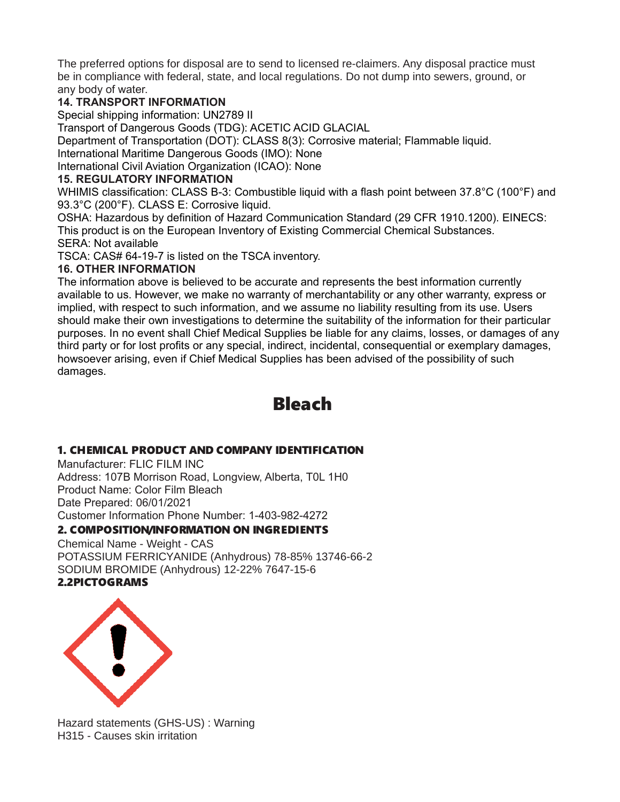The preferred options for disposal are to send to licensed re-claimers. Any disposal practice must be in compliance with federal, state, and local regulations. Do not dump into sewers, ground, or any body of water.

## **14. TRANSPORT INFORMATION**

Special shipping information: UN2789 II

Transport of Dangerous Goods (TDG): ACETIC ACID GLACIAL

Department of Transportation (DOT): CLASS 8(3): Corrosive material; Flammable liquid. International Maritime Dangerous Goods (IMO): None

International Civil Aviation Organization (ICAO): None

## **15. REGULATORY INFORMATION**

WHIMIS classification: CLASS B-3: Combustible liquid with a flash point between 37.8°C (100°F) and 93.3°C (200°F). CLASS E: Corrosive liquid.

OSHA: Hazardous by definition of Hazard Communication Standard (29 CFR 1910.1200). EINECS: This product is on the European Inventory of Existing Commercial Chemical Substances.

SERA: Not available

TSCA: CAS# 64-19-7 is listed on the TSCA inventory.

## **16. OTHER INFORMATION**

The information above is believed to be accurate and represents the best information currently available to us. However, we make no warranty of merchantability or any other warranty, express or implied, with respect to such information, and we assume no liability resulting from its use. Users should make their own investigations to determine the suitability of the information for their particular purposes. In no event shall Chief Medical Supplies be liable for any claims, losses, or damages of any third party or for lost profits or any special, indirect, incidental, consequential or exemplary damages, howsoever arising, even if Chief Medical Supplies has been advised of the possibility of such damages.

# Bleach

# 1. CHEMICAL PRODUCT AND COMPANY IDENTIFICATION

Manufacturer: FLIC FILM INC Address: 107B Morrison Road, Longview, Alberta, T0L 1H0 Product Name: Color Film Bleach Date Prepared: 06/01/2021 Customer Information Phone Number: 1-403-982-4272

# 2. COMPOSITION/INFORMATION ON INGREDIENTS

Chemical Name - Weight - CAS POTASSIUM FERRICYANIDE (Anhydrous) 78-85% 13746-66-2 SODIUM BROMIDE (Anhydrous) 12-22% 7647-15-6 2.2PICTOGRAMS



Hazard statements (GHS-US) : Warning H315 - Causes skin irritation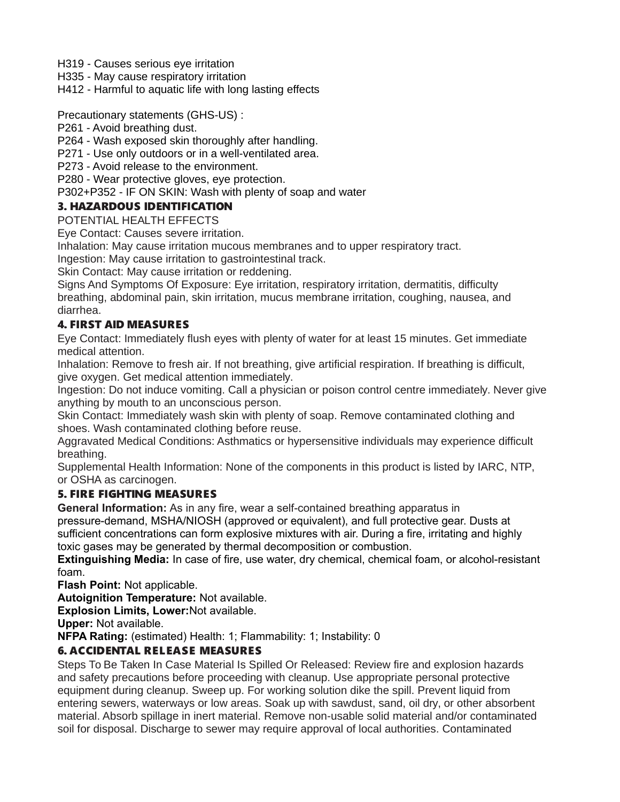H319 - Causes serious eye irritation

H335 - May cause respiratory irritation

H412 - Harmful to aquatic life with long lasting effects

Precautionary statements (GHS-US) :

P261 - Avoid breathing dust.

P264 - Wash exposed skin thoroughly after handling.

P271 - Use only outdoors or in a well-ventilated area.

P273 - Avoid release to the environment.

P280 - Wear protective gloves, eye protection.

P302+P352 - IF ON SKIN: Wash with plenty of soap and water

#### 3. HAZARDOUS IDENTIFICATION

POTENTIAL HEALTH EFFECTS

Eye Contact: Causes severe irritation.

Inhalation: May cause irritation mucous membranes and to upper respiratory tract.

Ingestion: May cause irritation to gastrointestinal track.

Skin Contact: May cause irritation or reddening.

Signs And Symptoms Of Exposure: Eye irritation, respiratory irritation, dermatitis, difficulty breathing, abdominal pain, skin irritation, mucus membrane irritation, coughing, nausea, and diarrhea.

#### 4. FIRST AID MEASURES

Eye Contact: Immediately flush eyes with plenty of water for at least 15 minutes. Get immediate medical attention.

Inhalation: Remove to fresh air. If not breathing, give artificial respiration. If breathing is difficult, give oxygen. Get medical attention immediately.

Ingestion: Do not induce vomiting. Call a physician or poison control centre immediately. Never give anything by mouth to an unconscious person.

Skin Contact: Immediately wash skin with plenty of soap. Remove contaminated clothing and shoes. Wash contaminated clothing before reuse.

Aggravated Medical Conditions: Asthmatics or hypersensitive individuals may experience difficult breathing.

Supplemental Health Information: None of the components in this product is listed by IARC, NTP, or OSHA as carcinogen.

#### 5. FIRE FIGHTING MEASURES

**General Information:** As in any fire, wear a self-contained breathing apparatus in pressure-demand, MSHA/NIOSH (approved or equivalent), and full protective gear. Dusts at sufficient concentrations can form explosive mixtures with air. During a fire, irritating and highly toxic gases may be generated by thermal decomposition or combustion.

**Extinguishing Media:** In case of fire, use water, dry chemical, chemical foam, or alcohol-resistant foam.

**Flash Point:** Not applicable.

**Autoignition Temperature:** Not available.

**Explosion Limits, Lower:**Not available.

**Upper:** Not available.

**NFPA Rating:** (estimated) Health: 1; Flammability: 1; Instability: 0

## 6. ACCIDENTAL RELEASE MEASURES

Steps To Be Taken In Case Material Is Spilled Or Released: Review fire and explosion hazards and safety precautions before proceeding with cleanup. Use appropriate personal protective equipment during cleanup. Sweep up. For working solution dike the spill. Prevent liquid from entering sewers, waterways or low areas. Soak up with sawdust, sand, oil dry, or other absorbent material. Absorb spillage in inert material. Remove non-usable solid material and/or contaminated soil for disposal. Discharge to sewer may require approval of local authorities. Contaminated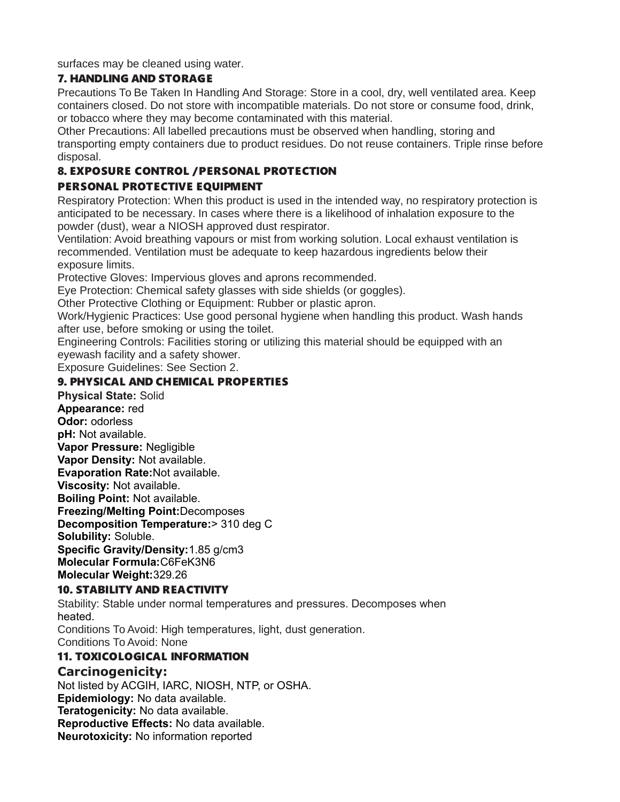surfaces may be cleaned using water.

#### 7. HANDLING AND STORAGE

Precautions To Be Taken In Handling And Storage: Store in a cool, dry, well ventilated area. Keep containers closed. Do not store with incompatible materials. Do not store or consume food, drink, or tobacco where they may become contaminated with this material.

Other Precautions: All labelled precautions must be observed when handling, storing and transporting empty containers due to product residues. Do not reuse containers. Triple rinse before disposal.

# 8. EXPOSURE CONTROL / PERSONAL PROTECTION

## PERSONAL PROTECTIVE EQUIPMENT

Respiratory Protection: When this product is used in the intended way, no respiratory protection is anticipated to be necessary. In cases where there is a likelihood of inhalation exposure to the powder (dust), wear a NIOSH approved dust respirator.

Ventilation: Avoid breathing vapours or mist from working solution. Local exhaust ventilation is recommended. Ventilation must be adequate to keep hazardous ingredients below their exposure limits.

Protective Gloves: Impervious gloves and aprons recommended.

Eye Protection: Chemical safety glasses with side shields (or goggles).

Other Protective Clothing or Equipment: Rubber or plastic apron.

Work/Hygienic Practices: Use good personal hygiene when handling this product. Wash hands after use, before smoking or using the toilet.

Engineering Controls: Facilities storing or utilizing this material should be equipped with an eyewash facility and a safety shower.

Exposure Guidelines: See Section 2.

## 9. PHYSICAL AND CHEMICAL PROPERTIES

**Physical State:** Solid **Appearance:** red **Odor:** odorless **pH:** Not available. **Vapor Pressure:** Negligible **Vapor Density:** Not available. **Evaporation Rate:**Not available. **Viscosity:** Not available. **Boiling Point:** Not available. **Freezing/Melting Point:**Decomposes **Decomposition Temperature:**> 310 deg C **Solubility:** Soluble. **Specific Gravity/Density:**1.85 g/cm3 **Molecular Formula:**C6FeK3N6 **Molecular Weight:**329.26

## 10. STABILITY AND REACTIVITY

Stability: Stable under normal temperatures and pressures. Decomposes when heated.

Conditions To Avoid: High temperatures, light, dust generation.

Conditions To Avoid: None

## 11. TOXICOLOGICAL INFORMATION

# **Carcinogenicity:**

Not listed by ACGIH, IARC, NIOSH, NTP, or OSHA. **Epidemiology:** No data available. **Teratogenicity:** No data available. **Reproductive Effects:** No data available. **Neurotoxicity:** No information reported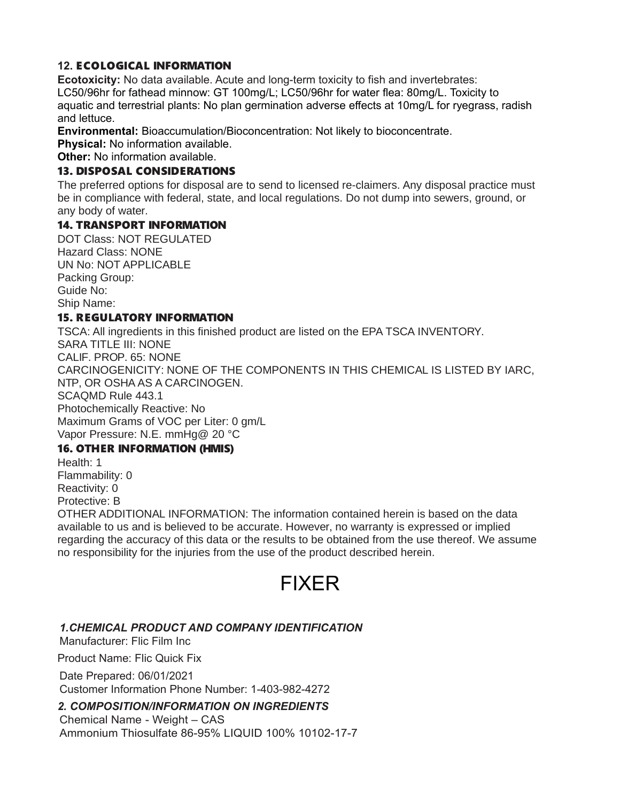#### **12.** ECOLOGICAL INFORMATION

**Ecotoxicity:** No data available. Acute and long-term toxicity to fish and invertebrates: LC50/96hr for fathead minnow: GT 100mg/L; LC50/96hr for water flea: 80mg/L. Toxicity to aquatic and terrestrial plants: No plan germination adverse effects at 10mg/L for ryegrass, radish and lettuce.

**Environmental:** Bioaccumulation/Bioconcentration: Not likely to bioconcentrate.

**Physical:** No information available.

**Other:** No information available.

#### 13. DISPOSAL CONSIDERATIONS

The preferred options for disposal are to send to licensed re-claimers. Any disposal practice must be in compliance with federal, state, and local regulations. Do not dump into sewers, ground, or any body of water.

## 14. TRANSPORT INFORMATION

DOT Class: NOT REGULATED Hazard Class: NONE UN No: NOT APPLICABLE Packing Group: Guide No: Ship Name:

#### 15. REGULATORY INFORMATION

TSCA: All ingredients in this finished product are listed on the EPA TSCA INVENTORY. SARA TITLE III: NONE CALIF. PROP. 65: NONE CARCINOGENICITY: NONE OF THE COMPONENTS IN THIS CHEMICAL IS LISTED BY IARC, NTP, OR OSHA AS A CARCINOGEN. SCAQMD Rule 443.1 Photochemically Reactive: No Maximum Grams of VOC per Liter: 0 gm/L Vapor Pressure: N.E. mmHg@ 20 °C

## 16. OTHER INFORMATION (HMIS)

Health: 1

Flammability: 0 Reactivity: 0

Protective: B

OTHER ADDITIONAL INFORMATION: The information contained herein is based on the data

available to us and is believed to be accurate. However, no warranty is expressed or implied regarding the accuracy of this data or the results to be obtained from the use thereof. We assume no responsibility for the injuries from the use of the product described herein.

# FIXER

## *1.CHEMICAL PRODUCT AND COMPANY IDENTIFICATION*

Manufacturer: Flic Film Inc

Product Name: Flic Quick Fix

Date Prepared: 06/01/2021 Customer Information Phone Number: 1-403-982-4272

# *2. COMPOSITION/INFORMATION ON INGREDIENTS*

Chemical Name - Weight – CAS Ammonium Thiosulfate 86-95% LIQUID 100% 10102-17-7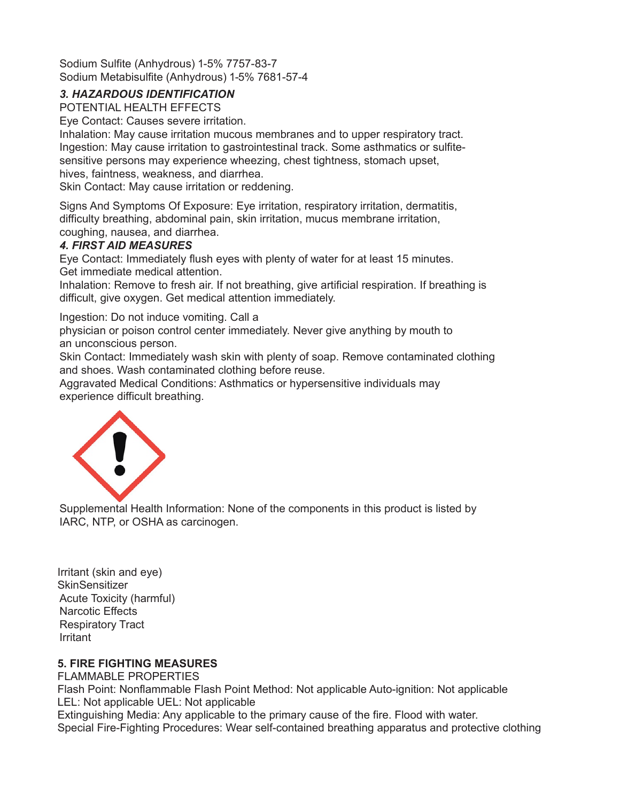Sodium Sulfite (Anhydrous) 1-5% 7757-83-7 Sodium Metabisulfite (Anhydrous) 1-5% 7681-57-4

## *3. HAZARDOUS IDENTIFICATION*

POTENTIAL HEALTH EFFECTS

Eye Contact: Causes severe irritation.

Inhalation: May cause irritation mucous membranes and to upper respiratory tract. Ingestion: May cause irritation to gastrointestinal track. Some asthmatics or sulfitesensitive persons may experience wheezing, chest tightness, stomach upset, hives, faintness, weakness, and diarrhea.

Skin Contact: May cause irritation or reddening.

Signs And Symptoms Of Exposure: Eye irritation, respiratory irritation, dermatitis, difficulty breathing, abdominal pain, skin irritation, mucus membrane irritation, coughing, nausea, and diarrhea.

## *4. FIRST AID MEASURES*

Eye Contact: Immediately flush eyes with plenty of water for at least 15 minutes. Get immediate medical attention.

Inhalation: Remove to fresh air. If not breathing, give artificial respiration. If breathing is difficult, give oxygen. Get medical attention immediately.

Ingestion: Do not induce vomiting. Call a

physician or poison control center immediately. Never give anything by mouth to an unconscious person.

Skin Contact: Immediately wash skin with plenty of soap. Remove contaminated clothing and shoes. Wash contaminated clothing before reuse.

Aggravated Medical Conditions: Asthmatics or hypersensitive individuals may experience difficult breathing.



Supplemental Health Information: None of the components in this product is listed by IARC, NTP, or OSHA as carcinogen.

Irritant (skin and eye) **SkinSensitizer** Acute Toxicity (harmful) Narcotic Effects Respiratory Tract Irritant

## **5. FIRE FIGHTING MEASURES**

FLAMMABLE PROPERTIES Flash Point: Nonflammable Flash Point Method: Not applicable Auto-ignition: Not applicable LEL: Not applicable UEL: Not applicable Extinguishing Media: Any applicable to the primary cause of the fire. Flood with water. Special Fire-Fighting Procedures: Wear self-contained breathing apparatus and protective clothing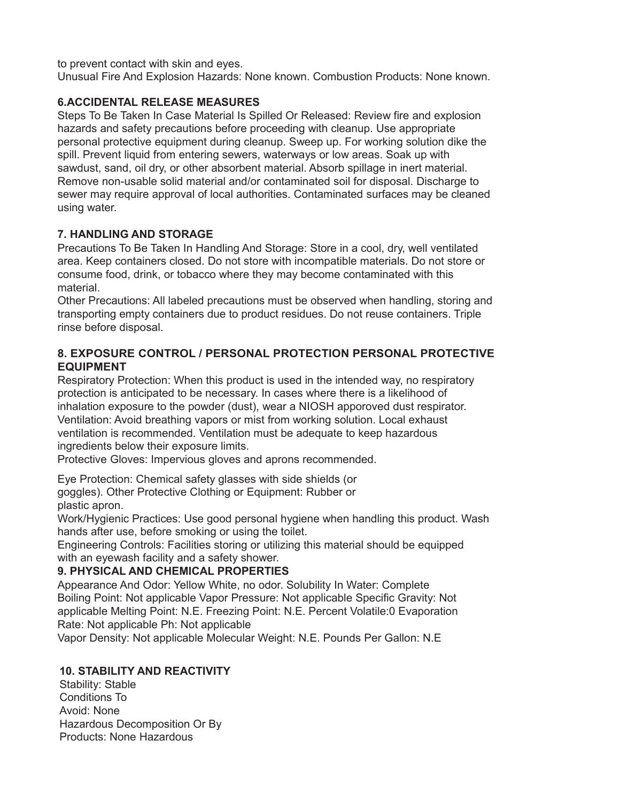to prevent contact with skin and eyes.

Unusual Fire And Explosion Hazards: None known. Combustion Products: None known.

#### **6.ACCIDENTAL RELEASE MEASURES**

Steps To Be Taken In Case Material Is Spilled Or Released: Review fire and explosion hazards and safety precautions before proceeding with cleanup. Use appropriate personal protective equipment during cleanup. Sweep up. For working solution dike the spill. Prevent liquid from entering sewers, waterways or low areas. Soak up with sawdust, sand, oil dry, or other absorbent material. Absorb spillage in inert material. Remove non-usable solid material and/or contaminated soil for disposal. Discharge to sewer may require approval of local authorities. Contaminated surfaces may be cleaned using water.

## **7. HANDLING AND STORAGE**

Precautions To Be Taken In Handling And Storage: Store in a cool, dry, well ventilated area. Keep containers closed. Do not store with incompatible materials. Do not store or consume food, drink, or tobacco where they may become contaminated with this material.

Other Precautions: All labeled precautions must be observed when handling, storing and transporting empty containers due to product residues. Do not reuse containers. Triple rinse before disposal.

#### **8. EXPOSURE CONTROL / PERSONAL PROTECTION PERSONAL PROTECTIVE EQUIPMENT**

Respiratory Protection: When this product is used in the intended way, no respiratory protection is anticipated to be necessary. In cases where there is a likelihood of inhalation exposure to the powder (dust), wear a NIOSH apporoved dust respirator. Ventilation: Avoid breathing vapors or mist from working solution. Local exhaust ventilation is recommended. Ventilation must be adequate to keep hazardous ingredients below their exposure limits.

Protective Gloves: Impervious gloves and aprons recommended.

Eye Protection: Chemical safety glasses with side shields (or goggles). Other Protective Clothing or Equipment: Rubber or plastic apron.

Work/Hygienic Practices: Use good personal hygiene when handling this product. Wash hands after use, before smoking or using the toilet.

Engineering Controls: Facilities storing or utilizing this material should be equipped with an eyewash facility and a safety shower.

## **9. PHYSICAL AND CHEMICAL PROPERTIES**

Appearance And Odor: Yellow White, no odor. Solubility In Water: Complete Boiling Point: Not applicable Vapor Pressure: Not applicable Specific Gravity: Not applicable Melting Point: N.E. Freezing Point: N.E. Percent Volatile:0 Evaporation Rate: Not applicable Ph: Not applicable

Vapor Density: Not applicable Molecular Weight: N.E. Pounds Per Gallon: N.E

## **10. STABILITY AND REACTIVITY**

Stability: Stable Conditions To Avoid: None Hazardous Decomposition Or By Products: None Hazardous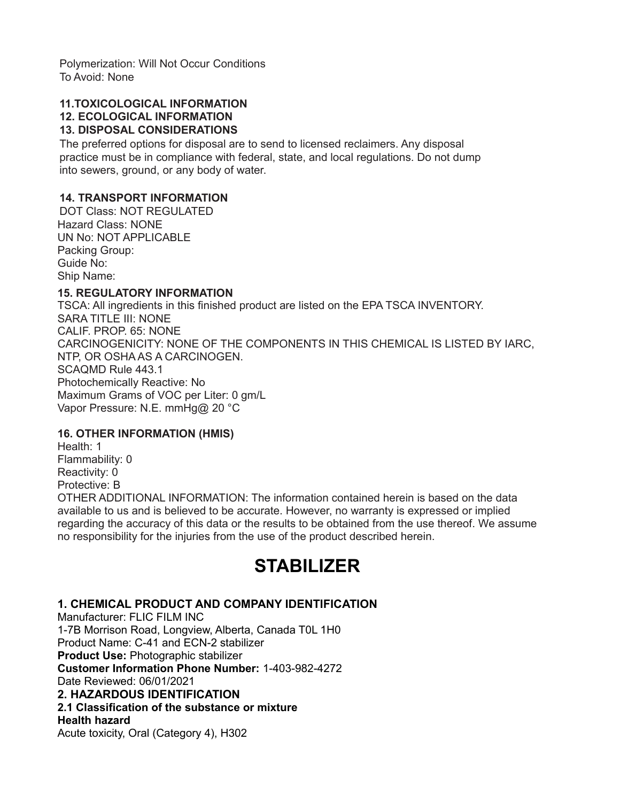Polymerization: Will Not Occur Conditions To Avoid: None

## **11.TOXICOLOGICAL INFORMATION**

## **12. ECOLOGICAL INFORMATION**

#### **13. DISPOSAL CONSIDERATIONS**

The preferred options for disposal are to send to licensed reclaimers. Any disposal practice must be in compliance with federal, state, and local regulations. Do not dump into sewers, ground, or any body of water.

#### **14. TRANSPORT INFORMATION**

DOT Class: NOT REGULATED Hazard Class: NONE UN No: NOT APPLICABLE Packing Group: Guide No: Ship Name:

#### **15. REGULATORY INFORMATION**

TSCA: All ingredients in this finished product are listed on the EPA TSCA INVENTORY. SARA TITLE III: NONE CALIF. PROP. 65: NONE CARCINOGENICITY: NONE OF THE COMPONENTS IN THIS CHEMICAL IS LISTED BY IARC, NTP, OR OSHA AS A CARCINOGEN. SCAQMD Rule 443.1 Photochemically Reactive: No Maximum Grams of VOC per Liter: 0 gm/L Vapor Pressure: N.E. mmHg@ 20 °C

#### **16. OTHER INFORMATION (HMIS)**

Health: 1 Flammability: 0 Reactivity: 0 Protective: B OTHER ADDITIONAL INFORMATION: The information contained herein is based on the data available to us and is believed to be accurate. However, no warranty is expressed or implied regarding the accuracy of this data or the results to be obtained from the use thereof. We assume no responsibility for the injuries from the use of the product described herein.

# **STABILIZER**

#### **1. CHEMICAL PRODUCT AND COMPANY IDENTIFICATION**

Manufacturer: FLIC FILM INC 1-7B Morrison Road, Longview, Alberta, Canada T0L 1H0 Product Name: C-41 and ECN-2 stabilizer **Product Use:** Photographic stabilizer **Customer Information Phone Number:** 1-403-982-4272 Date Reviewed: 06/01/2021 **2. HAZARDOUS IDENTIFICATION 2.1 Classification of the substance or mixture Health hazard**  Acute toxicity, Oral (Category 4), H302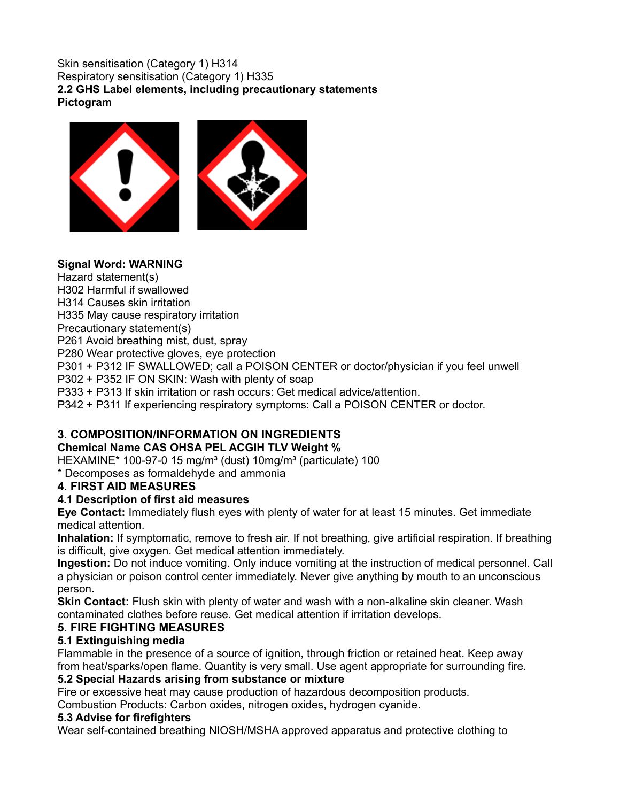#### Skin sensitisation (Category 1) H314 Respiratory sensitisation (Category 1) H335 **2.2 GHS Label elements, including precautionary statements Pictogram**



#### **Signal Word: WARNING**

Hazard statement(s) H302 Harmful if swallowed H314 Causes skin irritation H335 May cause respiratory irritation Precautionary statement(s) P261 Avoid breathing mist, dust, spray P280 Wear protective gloves, eye protection P301 + P312 IF SWALLOWED; call a POISON CENTER or doctor/physician if you feel unwell P302 + P352 IF ON SKIN: Wash with plenty of soap P333 + P313 If skin irritation or rash occurs: Get medical advice/attention. P342 + P311 If experiencing respiratory symptoms: Call a POISON CENTER or doctor.

# **3. COMPOSITION/INFORMATION ON INGREDIENTS**

## **Chemical Name CAS OHSA PEL ACGIH TLV Weight %**

HEXAMINE $*$  100-97-0 15 mg/m<sup>3</sup> (dust) 10mg/m<sup>3</sup> (particulate) 100

\* Decomposes as formaldehyde and ammonia

## **4. FIRST AID MEASURES**

## **4.1 Description of first aid measures**

**Eye Contact:** Immediately flush eyes with plenty of water for at least 15 minutes. Get immediate medical attention.

**Inhalation:** If symptomatic, remove to fresh air. If not breathing, give artificial respiration. If breathing is difficult, give oxygen. Get medical attention immediately.

**Ingestion:** Do not induce vomiting. Only induce vomiting at the instruction of medical personnel. Call a physician or poison control center immediately. Never give anything by mouth to an unconscious person.

**Skin Contact:** Flush skin with plenty of water and wash with a non-alkaline skin cleaner. Wash contaminated clothes before reuse. Get medical attention if irritation develops.

## **5. FIRE FIGHTING MEASURES**

## **5.1 Extinguishing media**

Flammable in the presence of a source of ignition, through friction or retained heat. Keep away from heat/sparks/open flame. Quantity is very small. Use agent appropriate for surrounding fire.

## **5.2 Special Hazards arising from substance or mixture**

Fire or excessive heat may cause production of hazardous decomposition products.

Combustion Products: Carbon oxides, nitrogen oxides, hydrogen cyanide.

#### **5.3 Advise for firefighters**

Wear self-contained breathing NIOSH/MSHA approved apparatus and protective clothing to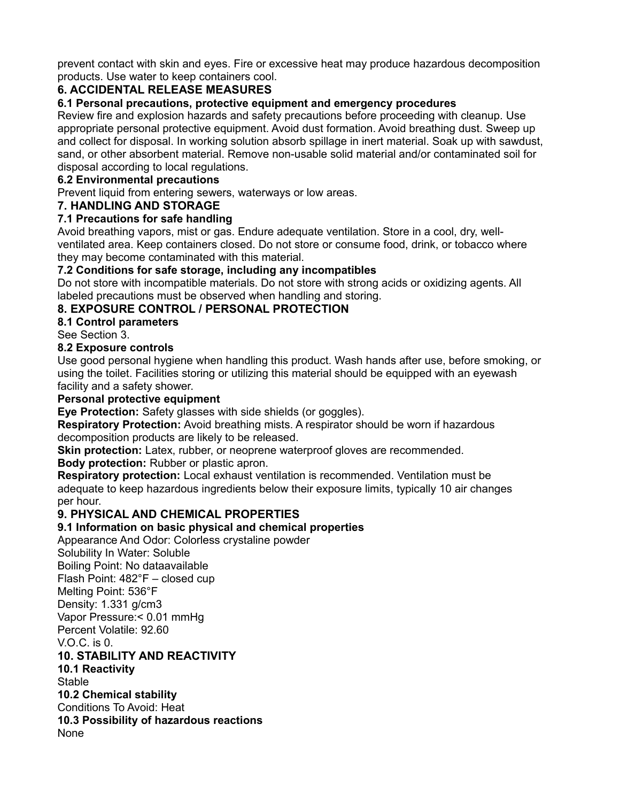prevent contact with skin and eyes. Fire or excessive heat may produce hazardous decomposition products. Use water to keep containers cool.

## **6. ACCIDENTAL RELEASE MEASURES**

#### **6.1 Personal precautions, protective equipment and emergency procedures**

Review fire and explosion hazards and safety precautions before proceeding with cleanup. Use appropriate personal protective equipment. Avoid dust formation. Avoid breathing dust. Sweep up and collect for disposal. In working solution absorb spillage in inert material. Soak up with sawdust, sand, or other absorbent material. Remove non-usable solid material and/or contaminated soil for disposal according to local regulations.

#### **6.2 Environmental precautions**

Prevent liquid from entering sewers, waterways or low areas.

#### **7. HANDLING AND STORAGE**

#### **7.1 Precautions for safe handling**

Avoid breathing vapors, mist or gas. Endure adequate ventilation. Store in a cool, dry, wellventilated area. Keep containers closed. Do not store or consume food, drink, or tobacco where they may become contaminated with this material.

#### **7.2 Conditions for safe storage, including any incompatibles**

Do not store with incompatible materials. Do not store with strong acids or oxidizing agents. All labeled precautions must be observed when handling and storing.

#### **8. EXPOSURE CONTROL / PERSONAL PROTECTION**

#### **8.1 Control parameters**

See Section 3.

#### **8.2 Exposure controls**

Use good personal hygiene when handling this product. Wash hands after use, before smoking, or using the toilet. Facilities storing or utilizing this material should be equipped with an eyewash facility and a safety shower.

#### **Personal protective equipment**

**Eye Protection:** Safety glasses with side shields (or goggles).

**Respiratory Protection:** Avoid breathing mists. A respirator should be worn if hazardous decomposition products are likely to be released.

**Skin protection:** Latex, rubber, or neoprene waterproof gloves are recommended.

#### **Body protection:** Rubber or plastic apron.

**Respiratory protection:** Local exhaust ventilation is recommended. Ventilation must be adequate to keep hazardous ingredients below their exposure limits, typically 10 air changes per hour.

#### **9. PHYSICAL AND CHEMICAL PROPERTIES**

#### **9.1 Information on basic physical and chemical properties**

Appearance And Odor: Colorless crystaline powder Solubility In Water: Soluble Boiling Point: No dataavailable Flash Point: 482°F – closed cup Melting Point: 536°F Density: 1.331 g/cm3 Vapor Pressure:< 0.01 mmHg Percent Volatile: 92.60

V.O.C. is 0.

## **10. STABILITY AND REACTIVITY**

**10.1 Reactivity**  Stable **10.2 Chemical stability**  Conditions To Avoid: Heat **10.3 Possibility of hazardous reactions**  None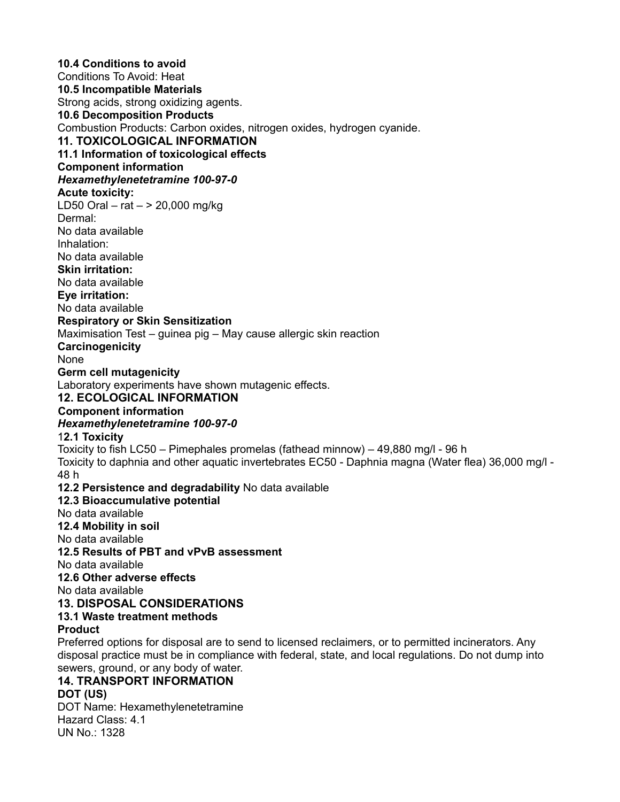**10.4 Conditions to avoid**  Conditions To Avoid: Heat **10.5 Incompatible Materials**  Strong acids, strong oxidizing agents. **10.6 Decomposition Products**  Combustion Products: Carbon oxides, nitrogen oxides, hydrogen cyanide. **11. TOXICOLOGICAL INFORMATION 11.1 Information of toxicological effects C**C**omponent information**  *Hexamethylenetetramine 100-97-0*  **Acute toxicity:**  LD50 Oral – rat – > 20,000 mg/kg Dermal: No data available Inhalation: No data available **Skin irritation:**  No data available **Eye irritation:**  No data available **Respiratory or Skin Sensitization**  Maximisation Test – guinea pig – May cause allergic skin reaction **Carcinogenicity**  None **Germ cell mutagenicity**  Laboratory experiments have shown mutagenic effects. **12. ECOLOGICAL INFORMATION** <sup>C</sup>**C**C**omponent information**  *Hexamethylenetetramine 100-97-0*  1**2.1 Toxicity**  Toxicity to fish LC50 – Pimephales promelas (fathead minnow) – 49,880 mg/l - 96 h Toxicity to daphnia and other aquatic invertebrates EC50 - Daphnia magna (Water flea) 36,000 mg/l - 48 h **12.2 Persistence and degradability** No data available **12.3 Bioaccumulative potential**  No data available **12.4 Mobility in soil**  No data available **12.5 Results of PBT and vPvB assessment**  No data available **12.6 Other adverse effects**  No data available **13. DISPOSAL CONSIDERATIONS 13.1 Waste treatment methods Product**  Preferred options for disposal are to send to licensed reclaimers, or to permitted incinerators. Any disposal practice must be in compliance with federal, state, and local regulations. Do not dump into sewers, ground, or any body of water. **14. TRANSPORT INFORMATION DOT (US)**  DOT Name: Hexamethylenetetramine Hazard Class: 4.1 UN No.: 1328